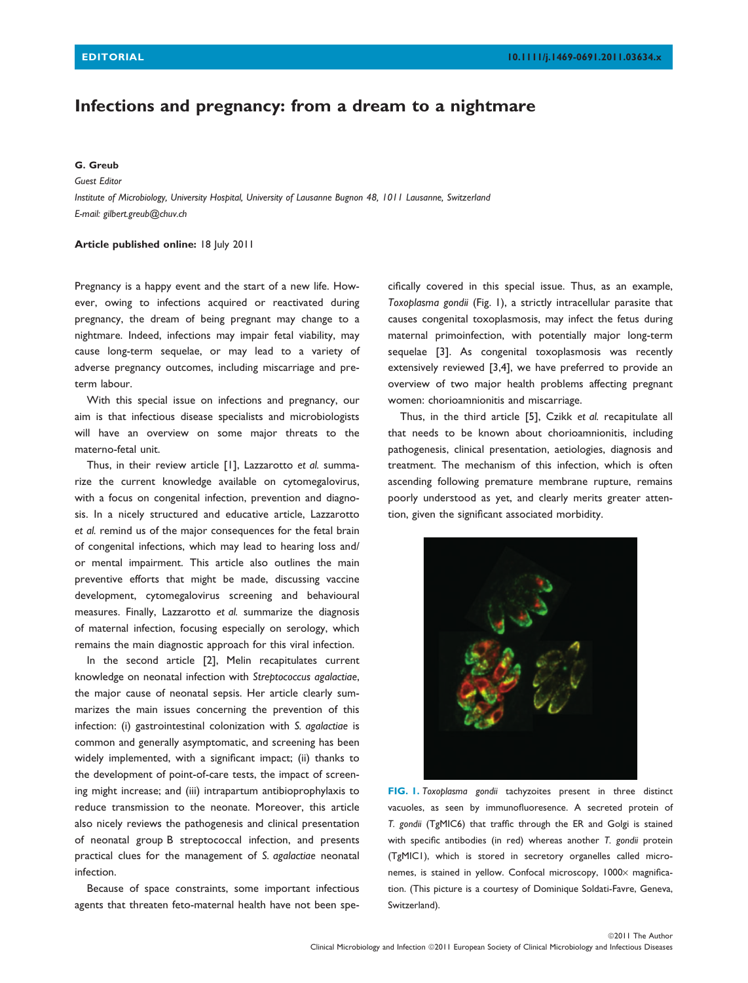# Infections and pregnancy: from a dream to a nightmare

## G. Greub

Guest Editor

Institute of Microbiology, University Hospital, University of Lausanne Bugnon 48, 1011 Lausanne, Switzerland E-mail: gilbert.greub@chuv.ch

#### Article published online: 18 July 2011

Pregnancy is a happy event and the start of a new life. However, owing to infections acquired or reactivated during pregnancy, the dream of being pregnant may change to a nightmare. Indeed, infections may impair fetal viability, may cause long-term sequelae, or may lead to a variety of adverse pregnancy outcomes, including miscarriage and preterm labour.

With this special issue on infections and pregnancy, our aim is that infectious disease specialists and microbiologists will have an overview on some major threats to the materno-fetal unit.

Thus, in their review article [1], Lazzarotto et al. summarize the current knowledge available on cytomegalovirus, with a focus on congenital infection, prevention and diagnosis. In a nicely structured and educative article, Lazzarotto et al. remind us of the major consequences for the fetal brain of congenital infections, which may lead to hearing loss and/ or mental impairment. This article also outlines the main preventive efforts that might be made, discussing vaccine development, cytomegalovirus screening and behavioural measures. Finally, Lazzarotto et al. summarize the diagnosis of maternal infection, focusing especially on serology, which remains the main diagnostic approach for this viral infection.

In the second article [2], Melin recapitulates current knowledge on neonatal infection with Streptococcus agalactiae, the major cause of neonatal sepsis. Her article clearly summarizes the main issues concerning the prevention of this infection: (i) gastrointestinal colonization with S. agalactiae is common and generally asymptomatic, and screening has been widely implemented, with a significant impact; (ii) thanks to the development of point-of-care tests, the impact of screening might increase; and (iii) intrapartum antibioprophylaxis to reduce transmission to the neonate. Moreover, this article also nicely reviews the pathogenesis and clinical presentation of neonatal group B streptococcal infection, and presents practical clues for the management of S. agalactiae neonatal infection.

Because of space constraints, some important infectious agents that threaten feto-maternal health have not been specifically covered in this special issue. Thus, as an example, Toxoplasma gondii (Fig. 1), a strictly intracellular parasite that causes congenital toxoplasmosis, may infect the fetus during maternal primoinfection, with potentially major long-term sequelae [3]. As congenital toxoplasmosis was recently extensively reviewed [3,4], we have preferred to provide an overview of two major health problems affecting pregnant women: chorioamnionitis and miscarriage.

Thus, in the third article [5], Czikk et al. recapitulate all that needs to be known about chorioamnionitis, including pathogenesis, clinical presentation, aetiologies, diagnosis and treatment. The mechanism of this infection, which is often ascending following premature membrane rupture, remains poorly understood as yet, and clearly merits greater attention, given the significant associated morbidity.



FIG. I. Toxoplasma gondii tachyzoites present in three distinct vacuoles, as seen by immunofluoresence. A secreted protein of T. gondii (TgMIC6) that traffic through the ER and Golgi is stained with specific antibodies (in red) whereas another T. gondii protein (TgMIC1), which is stored in secretory organelles called micronemes, is stained in yellow. Confocal microscopy,  $1000 \times$  magnification. (This picture is a courtesy of Dominique Soldati-Favre, Geneva, Switzerland).